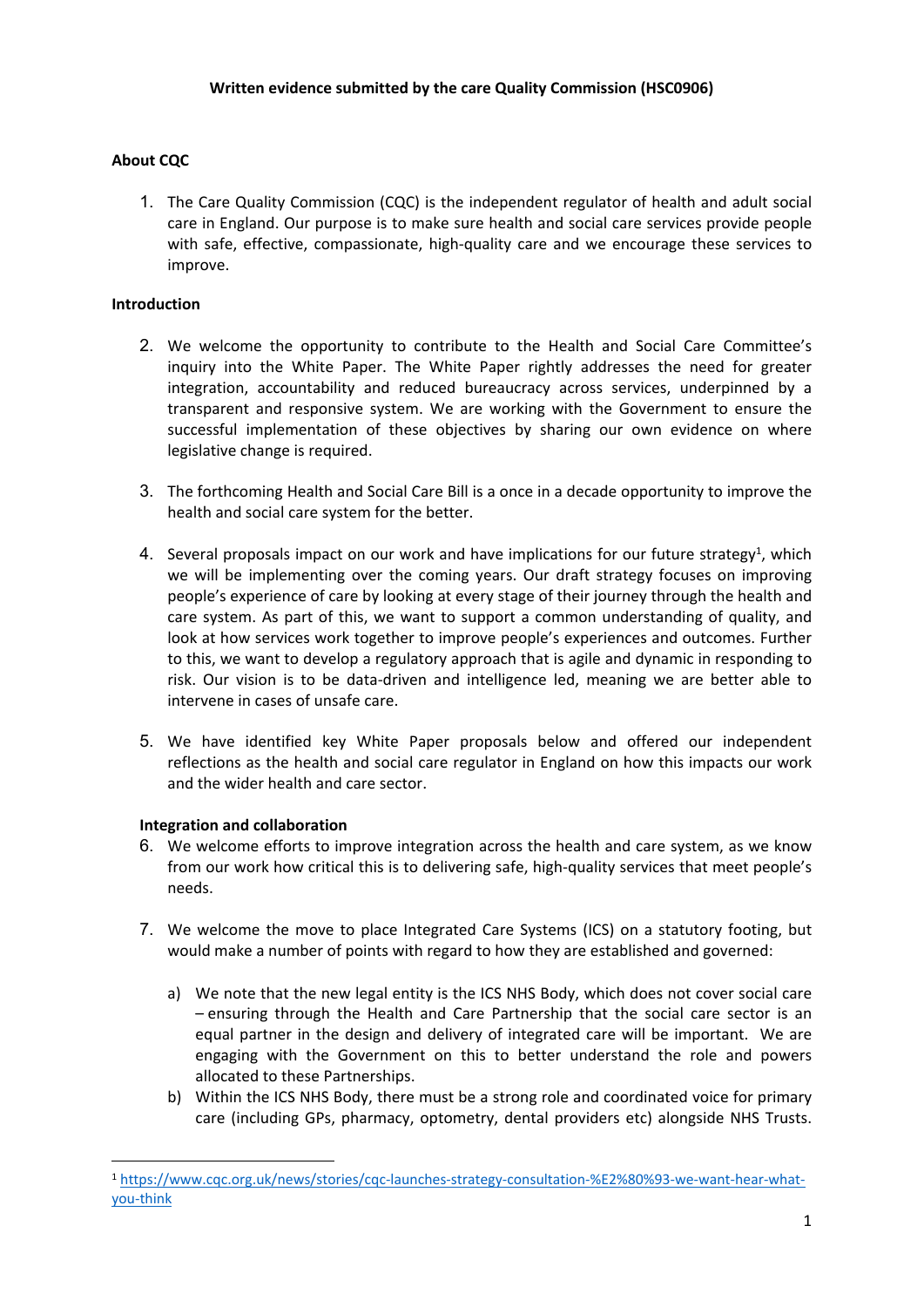# **About CQC**

1. The Care Quality Commission (CQC) is the independent regulator of health and adult social care in England. Our purpose is to make sure health and social care services provide people with safe, effective, compassionate, high-quality care and we encourage these services to improve.

# **Introduction**

- 2. We welcome the opportunity to contribute to the Health and Social Care Committee's inquiry into the White Paper. The White Paper rightly addresses the need for greater integration, accountability and reduced bureaucracy across services, underpinned by a transparent and responsive system. We are working with the Government to ensure the successful implementation of these objectives by sharing our own evidence on where legislative change is required.
- 3. The forthcoming Health and Social Care Bill is a once in a decade opportunity to improve the health and social care system for the better.
- 4. Several proposals impact on our work and have implications for our future strategy<sup>1</sup>, which we will be implementing over the coming years. Our draft strategy focuses on improving people's experience of care by looking at every stage of their journey through the health and care system. As part of this, we want to support a common understanding of quality, and look at how services work together to improve people's experiences and outcomes. Further to this, we want to develop a regulatory approach that is agile and dynamic in responding to risk. Our vision is to be data-driven and intelligence led, meaning we are better able to intervene in cases of unsafe care.
- 5. We have identified key White Paper proposals below and offered our independent reflections as the health and social care regulator in England on how this impacts our work and the wider health and care sector.

# **Integration and collaboration**

- 6. We welcome efforts to improve integration across the health and care system, as we know from our work how critical this is to delivering safe, high-quality services that meet people's needs.
- 7. We welcome the move to place Integrated Care Systems (ICS) on a statutory footing, but would make a number of points with regard to how they are established and governed:
	- a) We note that the new legal entity is the ICS NHS Body, which does not cover social care – ensuring through the Health and Care Partnership that the social care sector is an equal partner in the design and delivery of integrated care will be important. We are engaging with the Government on this to better understand the role and powers allocated to these Partnerships.
	- b) Within the ICS NHS Body, there must be a strong role and coordinated voice for primary care (including GPs, pharmacy, optometry, dental providers etc) alongside NHS Trusts.

<sup>1</sup> [https://www.cqc.org.uk/news/stories/cqc-launches-strategy-consultation-%E2%80%93-we-want-hear-what](https://www.cqc.org.uk/news/stories/cqc-launches-strategy-consultation-%E2%80%93-we-want-hear-what-you-think)[you-think](https://www.cqc.org.uk/news/stories/cqc-launches-strategy-consultation-%E2%80%93-we-want-hear-what-you-think)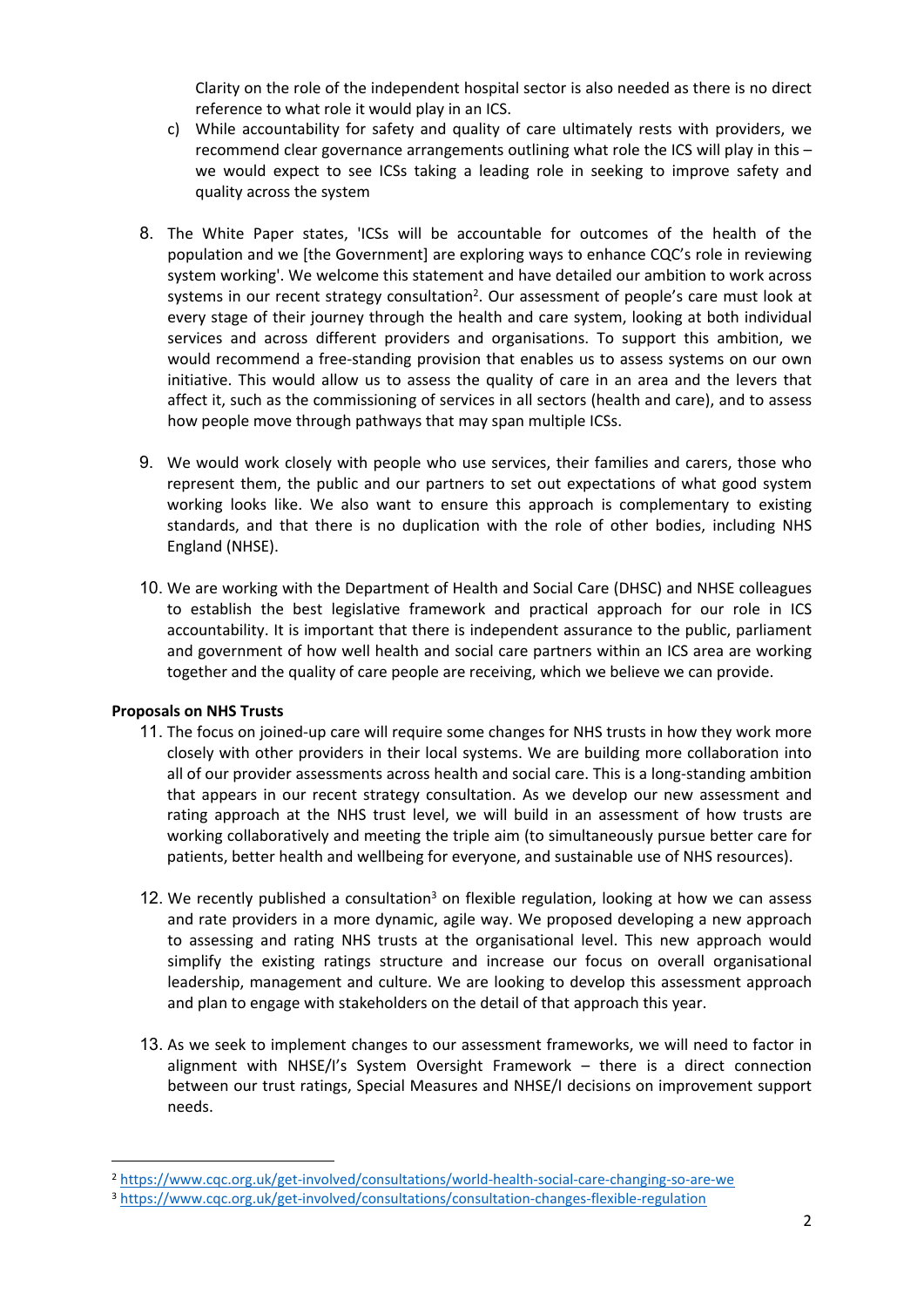Clarity on the role of the independent hospital sector is also needed as there is no direct reference to what role it would play in an ICS.

- c) While accountability for safety and quality of care ultimately rests with providers, we recommend clear governance arrangements outlining what role the ICS will play in this – we would expect to see ICSs taking a leading role in seeking to improve safety and quality across the system
- 8. The White Paper states, 'ICSs will be accountable for outcomes of the health of the population and we [the Government] are exploring ways to enhance CQC's role in reviewing system working'. We welcome this statement and have detailed our ambition to work across systems in our recent strategy consultation<sup>2</sup>. Our assessment of people's care must look at every stage of their journey through the health and care system, looking at both individual services and across different providers and organisations. To support this ambition, we would recommend a free-standing provision that enables us to assess systems on our own initiative. This would allow us to assess the quality of care in an area and the levers that affect it, such as the commissioning of services in all sectors (health and care), and to assess how people move through pathways that may span multiple ICSs.
- 9. We would work closely with people who use services, their families and carers, those who represent them, the public and our partners to set out expectations of what good system working looks like. We also want to ensure this approach is complementary to existing standards, and that there is no duplication with the role of other bodies, including NHS England (NHSE).
- 10. We are working with the Department of Health and Social Care (DHSC) and NHSE colleagues to establish the best legislative framework and practical approach for our role in ICS accountability. It is important that there is independent assurance to the public, parliament and government of how well health and social care partners within an ICS area are working together and the quality of care people are receiving, which we believe we can provide.

#### **Proposals on NHS Trusts**

- 11. The focus on joined-up care will require some changes for NHS trusts in how they work more closely with other providers in their local systems. We are building more collaboration into all of our provider assessments across health and social care. This is a long-standing ambition that appears in our recent strategy consultation. As we develop our new assessment and rating approach at the NHS trust level, we will build in an assessment of how trusts are working collaboratively and meeting the triple aim (to simultaneously pursue better care for patients, better health and wellbeing for everyone, and sustainable use of NHS resources).
- 12. We recently published a consultation<sup>3</sup> on flexible regulation, looking at how we can assess and rate providers in a more dynamic, agile way. We proposed developing a new approach to assessing and rating NHS trusts at the organisational level. This new approach would simplify the existing ratings structure and increase our focus on overall organisational leadership, management and culture. We are looking to develop this assessment approach and plan to engage with stakeholders on the detail of that approach this year.
- 13. As we seek to implement changes to our assessment frameworks, we will need to factor in alignment with NHSE/I's System Oversight Framework – there is a direct connection between our trust ratings, Special Measures and NHSE/I decisions on improvement support needs.

<sup>2</sup> <https://www.cqc.org.uk/get-involved/consultations/world-health-social-care-changing-so-are-we>

<sup>3</sup> <https://www.cqc.org.uk/get-involved/consultations/consultation-changes-flexible-regulation>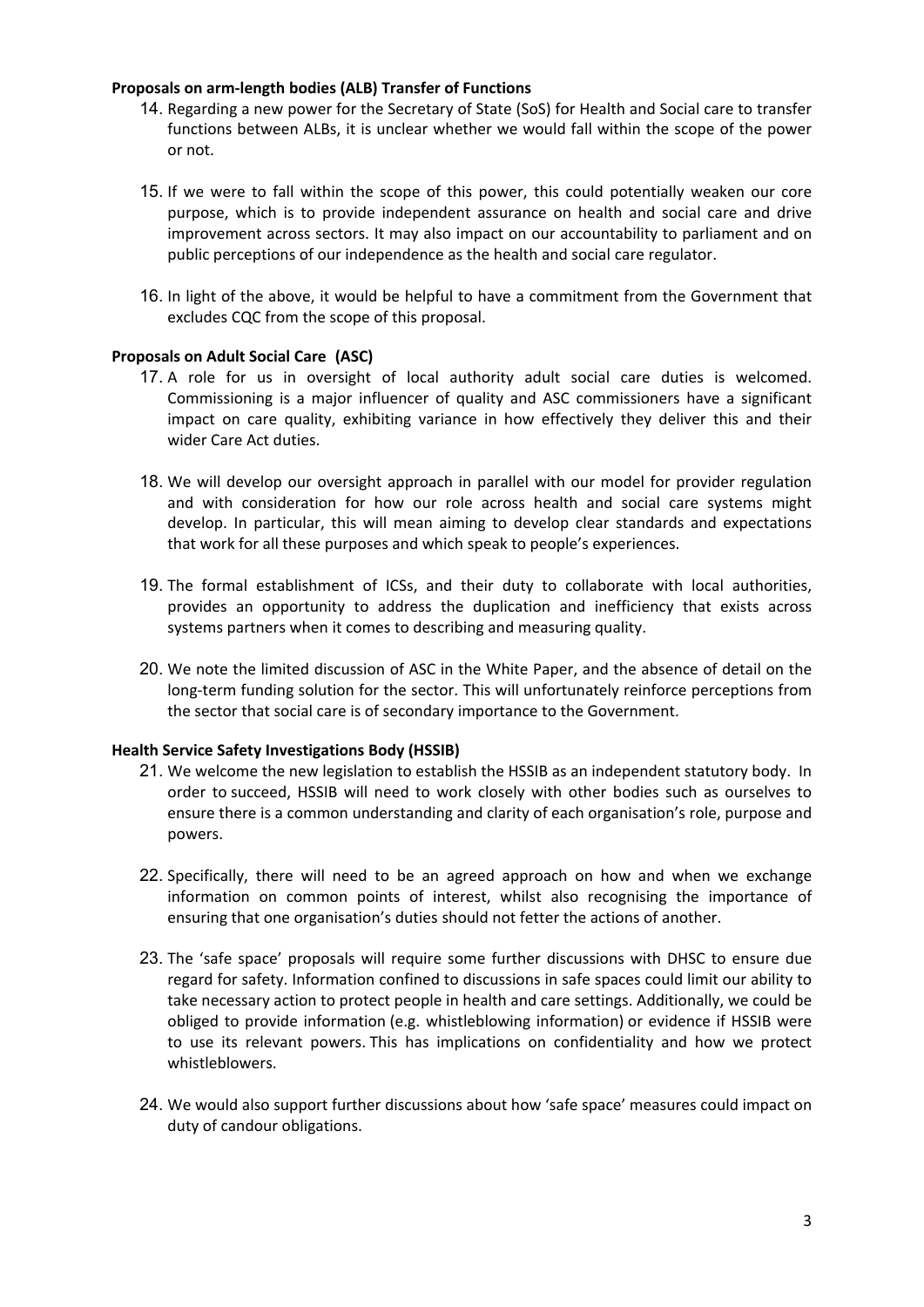#### **Proposals on arm-length bodies (ALB) Transfer of Functions**

- 14. Regarding a new power for the Secretary of State (SoS) for Health and Social care to transfer functions between ALBs, it is unclear whether we would fall within the scope of the power or not.
- 15. If we were to fall within the scope of this power, this could potentially weaken our core purpose, which is to provide independent assurance on health and social care and drive improvement across sectors. It may also impact on our accountability to parliament and on public perceptions of our independence as the health and social care regulator.
- 16. In light of the above, it would be helpful to have a commitment from the Government that excludes CQC from the scope of this proposal.

### **Proposals on Adult Social Care (ASC)**

- 17. A role for us in oversight of local authority adult social care duties is welcomed. Commissioning is a major influencer of quality and ASC commissioners have a significant impact on care quality, exhibiting variance in how effectively they deliver this and their wider Care Act duties.
- 18. We will develop our oversight approach in parallel with our model for provider regulation and with consideration for how our role across health and social care systems might develop. In particular, this will mean aiming to develop clear standards and expectations that work for all these purposes and which speak to people's experiences.
- 19. The formal establishment of ICSs, and their duty to collaborate with local authorities, provides an opportunity to address the duplication and inefficiency that exists across systems partners when it comes to describing and measuring quality.
- 20. We note the limited discussion of ASC in the White Paper, and the absence of detail on the long-term funding solution for the sector. This will unfortunately reinforce perceptions from the sector that social care is of secondary importance to the Government.

#### **Health Service Safety Investigations Body (HSSIB)**

- 21. We welcome the new legislation to establish the HSSIB as an independent statutory body. In order to succeed, HSSIB will need to work closely with other bodies such as ourselves to ensure there is a common understanding and clarity of each organisation's role, purpose and powers.
- 22. Specifically, there will need to be an agreed approach on how and when we exchange information on common points of interest, whilst also recognising the importance of ensuring that one organisation's duties should not fetter the actions of another.
- 23. The 'safe space' proposals will require some further discussions with DHSC to ensure due regard for safety. Information confined to discussions in safe spaces could limit our ability to take necessary action to protect people in health and care settings. Additionally, we could be obliged to provide information (e.g. whistleblowing information) or evidence if HSSIB were to use its relevant powers. This has implications on confidentiality and how we protect whistleblowers.
- 24. We would also support further discussions about how 'safe space' measures could impact on duty of candour obligations.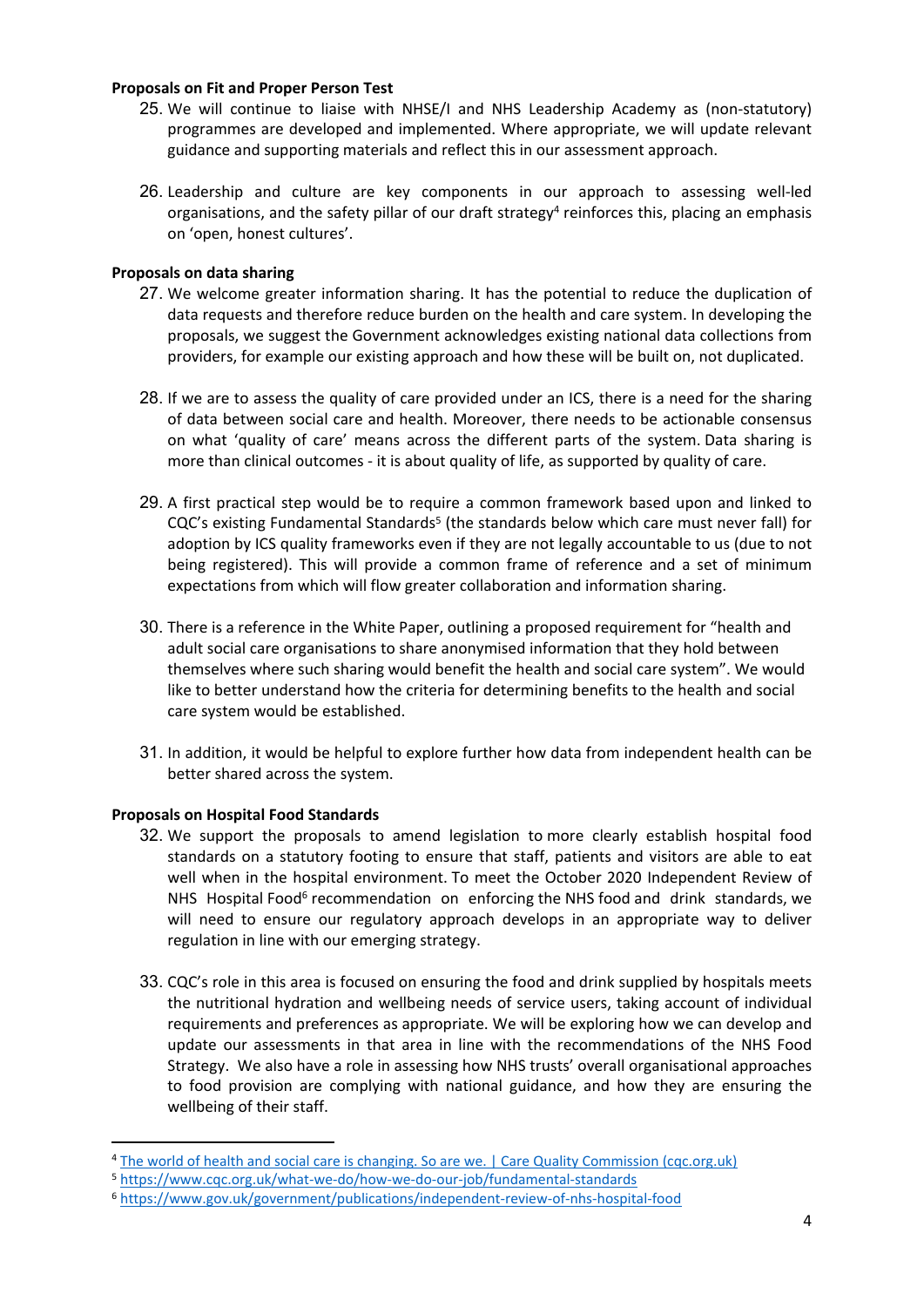#### **Proposals on Fit and Proper Person Test**

- 25. We will continue to liaise with NHSE/I and NHS Leadership Academy as (non-statutory) programmes are developed and implemented. Where appropriate, we will update relevant guidance and supporting materials and reflect this in our assessment approach.
- 26. Leadership and culture are key components in our approach to assessing well-led organisations, and the safety pillar of our draft strategy<sup>4</sup> reinforces this, placing an emphasis on 'open, honest cultures'.

# **Proposals on data sharing**

- 27. We welcome greater information sharing. It has the potential to reduce the duplication of data requests and therefore reduce burden on the health and care system. In developing the proposals, we suggest the Government acknowledges existing national data collections from providers, for example our existing approach and how these will be built on, not duplicated.
- 28. If we are to assess the quality of care provided under an ICS, there is a need for the sharing of data between social care and health. Moreover, there needs to be actionable consensus on what 'quality of care' means across the different parts of the system. Data sharing is more than clinical outcomes - it is about quality of life, as supported by quality of care.
- 29. A first practical step would be to require a common framework based upon and linked to CQC's existing Fundamental Standards<sup>5</sup> (the standards below which care must never fall) for adoption by ICS quality frameworks even if they are not legally accountable to us (due to not being registered). This will provide a common frame of reference and a set of minimum expectations from which will flow greater collaboration and information sharing.
- 30. There is a reference in the White Paper, outlining a proposed requirement for "health and adult social care organisations to share anonymised information that they hold between themselves where such sharing would benefit the health and social care system". We would like to better understand how the criteria for determining benefits to the health and social care system would be established.
- 31. In addition, it would be helpful to explore further how data from independent health can be better shared across the system.

# **Proposals on Hospital Food Standards**

- 32. We support the proposals to amend legislation to more clearly establish hospital food standards on a statutory footing to ensure that staff, patients and visitors are able to eat well when in the hospital environment. To meet the October 2020 Independent Review of NHS Hospital Food<sup>6</sup> recommendation on enforcing the NHS food and drink standards, we will need to ensure our regulatory approach develops in an appropriate way to deliver regulation in line with our [emerging](https://www.cqc.org.uk/news/stories/cqc-launches-strategy-consultation-%E2%80%93-we-want-hear-what-you-think) [strategy.](https://www.cqc.org.uk/news/stories/cqc-launches-strategy-consultation-%E2%80%93-we-want-hear-what-you-think)
- 33. CQC's role in this area is focused on ensuring the food and drink supplied by hospitals meets the nutritional hydration and wellbeing needs of service users, taking account of individual requirements and preferences as appropriate. We will be exploring how we can develop and update our assessments in that area in line with the recommendations of the NHS Food Strategy. We also have a role in assessing how NHS trusts' overall organisational approaches to food provision are complying with national guidance, and how they are ensuring the wellbeing of their staff.

<sup>&</sup>lt;sup>4</sup> [The](https://www.cqc.org.uk/get-involved/consultations/world-health-social-care-changing-so-are-we) [world](https://www.cqc.org.uk/get-involved/consultations/world-health-social-care-changing-so-are-we) [of](https://www.cqc.org.uk/get-involved/consultations/world-health-social-care-changing-so-are-we) [health](https://www.cqc.org.uk/get-involved/consultations/world-health-social-care-changing-so-are-we) [and](https://www.cqc.org.uk/get-involved/consultations/world-health-social-care-changing-so-are-we) [social](https://www.cqc.org.uk/get-involved/consultations/world-health-social-care-changing-so-are-we) [care](https://www.cqc.org.uk/get-involved/consultations/world-health-social-care-changing-so-are-we) [is](https://www.cqc.org.uk/get-involved/consultations/world-health-social-care-changing-so-are-we) [changing.](https://www.cqc.org.uk/get-involved/consultations/world-health-social-care-changing-so-are-we) [So](https://www.cqc.org.uk/get-involved/consultations/world-health-social-care-changing-so-are-we) [are](https://www.cqc.org.uk/get-involved/consultations/world-health-social-care-changing-so-are-we) [we.](https://www.cqc.org.uk/get-involved/consultations/world-health-social-care-changing-so-are-we) [|](https://www.cqc.org.uk/get-involved/consultations/world-health-social-care-changing-so-are-we) [Care](https://www.cqc.org.uk/get-involved/consultations/world-health-social-care-changing-so-are-we) [Quality](https://www.cqc.org.uk/get-involved/consultations/world-health-social-care-changing-so-are-we) [Commission](https://www.cqc.org.uk/get-involved/consultations/world-health-social-care-changing-so-are-we) [\(cqc.org.uk\)](https://www.cqc.org.uk/get-involved/consultations/world-health-social-care-changing-so-are-we)

<sup>5</sup> <https://www.cqc.org.uk/what-we-do/how-we-do-our-job/fundamental-standards>

<sup>6</sup> <https://www.gov.uk/government/publications/independent-review-of-nhs-hospital-food>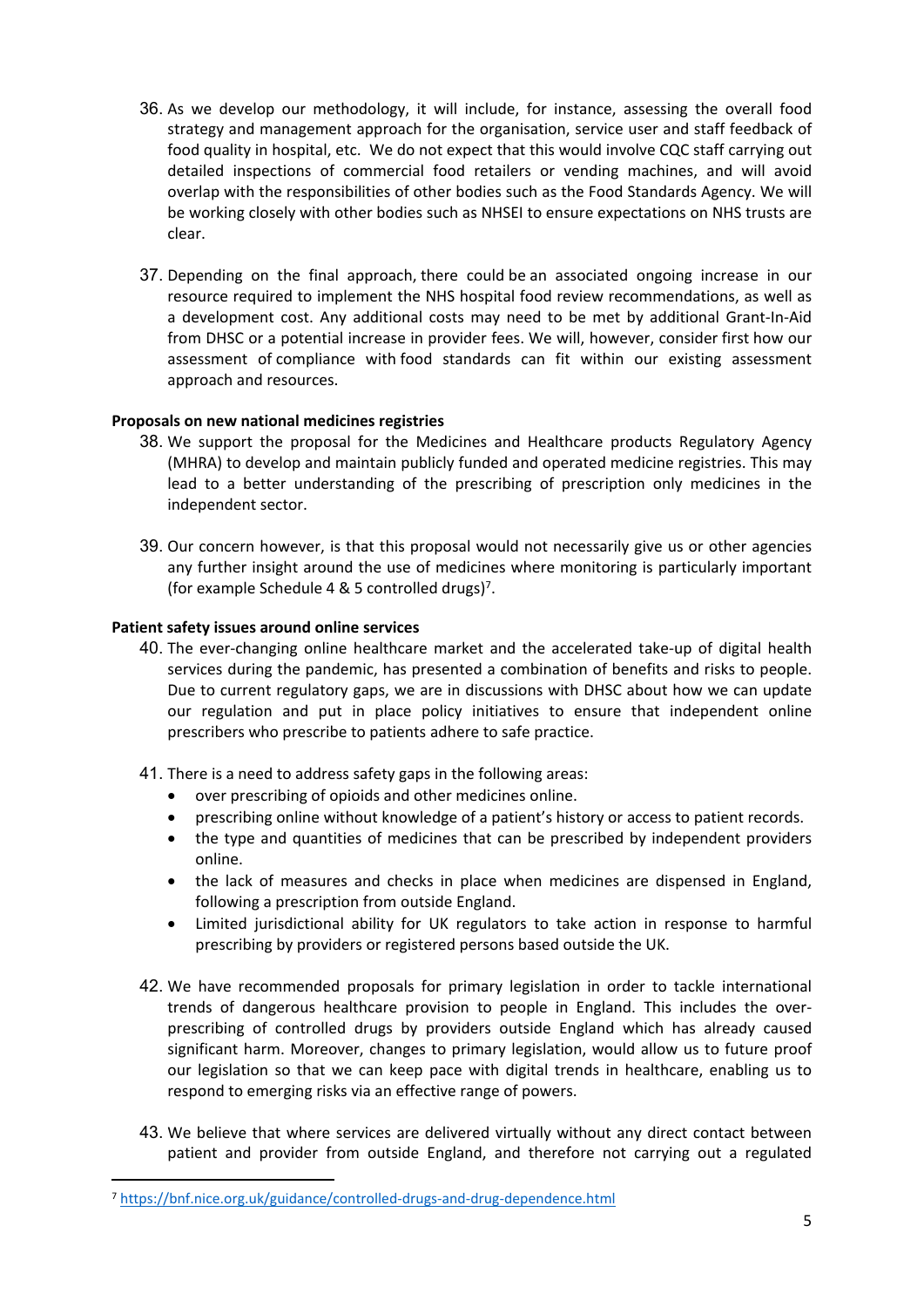- 36. As we develop our methodology, it will include, for instance, assessing the overall food strategy and management approach for the organisation, service user and staff feedback of food quality in hospital, etc. We do not expect that this would involve CQC staff carrying out detailed inspections of commercial food retailers or vending machines, and will avoid overlap with the responsibilities of other bodies such as the Food Standards Agency. We will be working closely with other bodies such as NHSEI to ensure expectations on NHS trusts are clear.
- 37. Depending on the final approach, there could be an associated ongoing increase in our resource required to implement the NHS hospital food review recommendations, as well as a development cost. Any additional costs may need to be met by additional Grant-In-Aid from DHSC or a potential increase in provider fees. We will, however, consider first how our assessment of compliance with food standards can fit within our existing assessment approach and resources.

### **Proposals on new national medicines registries**

- 38. We support the proposal for the Medicines and Healthcare products Regulatory Agency (MHRA) to develop and maintain publicly funded and operated medicine registries. This may lead to a better understanding of the prescribing of prescription only medicines in the independent sector.
- 39. Our concern however, is that this proposal would not necessarily give us or other agencies any further insight around the use of medicines where monitoring is particularly important (for example Schedule 4 & 5 controlled drugs)<sup>7</sup> .

#### **Patient safety issues around online services**

- 40. The ever-changing online healthcare market and the accelerated take-up of digital health services during the pandemic, has presented a combination of benefits and risks to people. Due to current regulatory gaps, we are in discussions with DHSC about how we can update our regulation and put in place policy initiatives to ensure that independent online prescribers who prescribe to patients adhere to safe practice.
- 41. There is a need to address safety gaps in the following areas:
	- over prescribing of opioids and other medicines online.
	- prescribing online without knowledge of a patient's history or access to patient records.
	- the type and quantities of medicines that can be prescribed by independent providers online.
	- the lack of measures and checks in place when medicines are dispensed in England, following a prescription from outside England.
	- Limited jurisdictional ability for UK regulators to take action in response to harmful prescribing by providers or registered persons based outside the UK.
- 42. We have recommended proposals for primary legislation in order to tackle international trends of dangerous healthcare provision to people in England. This includes the overprescribing of controlled drugs by providers outside England which has already caused significant harm. Moreover, changes to primary legislation, would allow us to future proof our legislation so that we can keep pace with digital trends in healthcare, enabling us to respond to emerging risks via an effective range of powers.
- 43. We believe that where services are delivered virtually without any direct contact between patient and provider from outside England, and therefore not carrying out a regulated

<sup>7</sup> <https://bnf.nice.org.uk/guidance/controlled-drugs-and-drug-dependence.html>